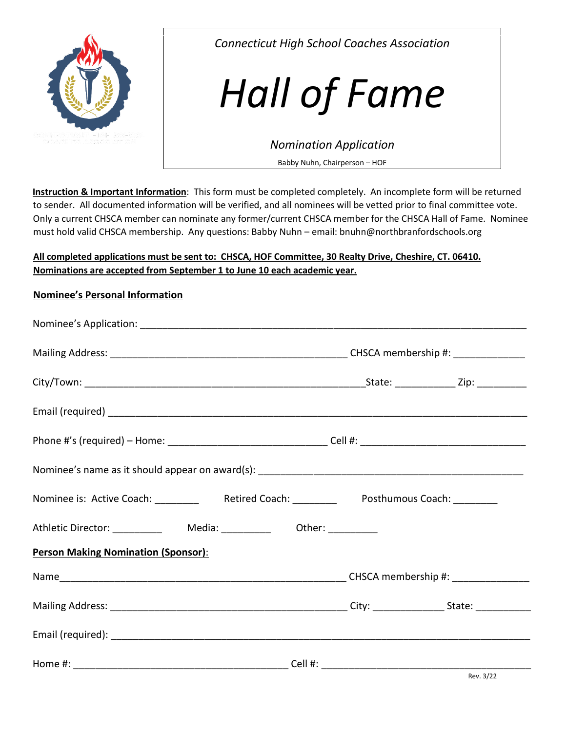

*Connecticut High School Coaches Association* 

# *Hall of Fame*

*Nomination Application* 

Babby Nuhn, Chairperson – HOF

**Instruction & Important Information**: This form must be completed completely. An incomplete form will be returned to sender. All documented information will be verified, and all nominees will be vetted prior to final committee vote. Only a current CHSCA member can nominate any former/current CHSCA member for the CHSCA Hall of Fame. Nominee must hold valid CHSCA membership. Any questions: Babby Nuhn – email: bnuhn@northbranfordschools.org

## **All completed applications must be sent to: CHSCA, HOF Committee, 30 Realty Drive, Cheshire, CT. 06410. Nominations are accepted from September 1 to June 10 each academic year.**

## **Nominee's Personal Information**

| Nominee is: Active Coach: _________ Retired Coach: ________ Posthumous Coach: _______ |  |  |  |
|---------------------------------------------------------------------------------------|--|--|--|
| Athletic Director: ____________  Media: ____________  Other: ___________              |  |  |  |
| <b>Person Making Nomination (Sponsor):</b>                                            |  |  |  |
|                                                                                       |  |  |  |
|                                                                                       |  |  |  |
|                                                                                       |  |  |  |
|                                                                                       |  |  |  |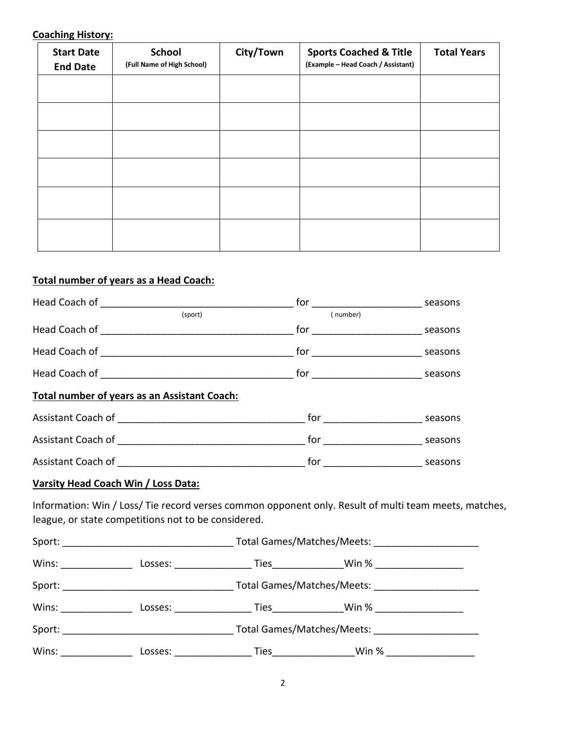#### **Coaching History:**

| <b>Start Date</b><br><b>End Date</b> | <b>School</b><br>(Full Name of High School) | City/Town | <b>Sports Coached &amp; Title</b><br>(Example - Head Coach / Assistant) | <b>Total Years</b> |
|--------------------------------------|---------------------------------------------|-----------|-------------------------------------------------------------------------|--------------------|
|                                      |                                             |           |                                                                         |                    |
|                                      |                                             |           |                                                                         |                    |
|                                      |                                             |           |                                                                         |                    |
|                                      |                                             |           |                                                                         |                    |
|                                      |                                             |           |                                                                         |                    |
|                                      |                                             |           |                                                                         |                    |

## **Total number of years as a Head Coach:**

|                                              | (sport) | (number)                                        |  |
|----------------------------------------------|---------|-------------------------------------------------|--|
|                                              |         |                                                 |  |
|                                              |         | _ for _________________________________ seasons |  |
|                                              |         |                                                 |  |
| Total number of years as an Assistant Coach: |         |                                                 |  |
|                                              |         | for _______________________________ seasons     |  |
|                                              |         | for ________________________________ seasons    |  |
|                                              |         |                                                 |  |

#### **Varsity Head Coach Win / Loss Data:**

Information: Win / Loss/ Tie record verses common opponent only. Result of multi team meets, matches, league, or state competitions not to be considered.

|                     | Losses:                                                                                                                                                                                                                        |                |                            |  |
|---------------------|--------------------------------------------------------------------------------------------------------------------------------------------------------------------------------------------------------------------------------|----------------|----------------------------|--|
|                     |                                                                                                                                                                                                                                |                | Total Games/Matches/Meets: |  |
| Wins: $\frac{1}{2}$ | Losses: the contract of the contract of the contract of the contract of the contract of the contract of the contract of the contract of the contract of the contract of the contract of the contract of the contract of the co |                |                            |  |
|                     |                                                                                                                                                                                                                                |                | Total Games/Matches/Meets: |  |
| Wins:               | Losses:                                                                                                                                                                                                                        | Ties _________ | Win %                      |  |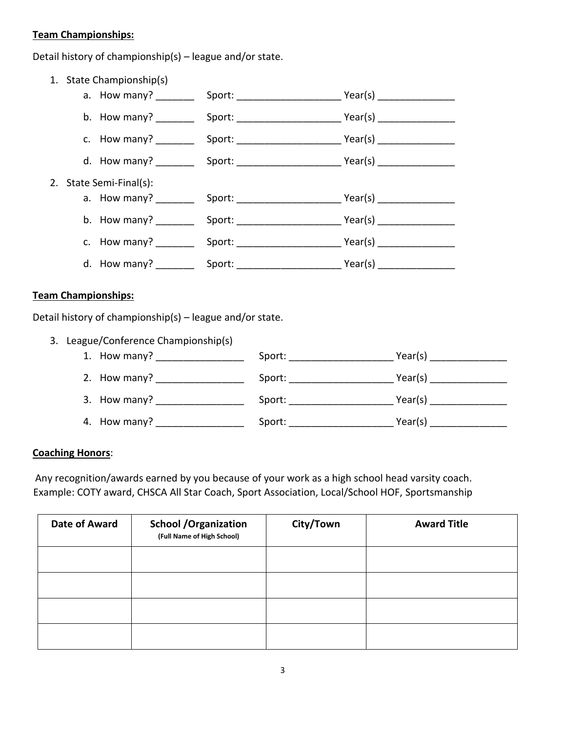#### **Team Championships:**

Detail history of championship(s) – league and/or state.

1. State Championship(s) a. How many? \_\_\_\_\_\_\_\_\_\_ Sport: \_\_\_\_\_\_\_\_\_\_\_\_\_\_\_\_\_\_\_\_\_\_\_\_\_\_\_Year(s) \_\_\_\_\_\_\_\_\_\_\_\_\_\_ b. How many? Sport: Sport: Year(s) c. How many? \_\_\_\_\_\_\_ Sport: \_\_\_\_\_\_\_\_\_\_\_\_\_\_\_\_\_\_\_ Year(s) \_\_\_\_\_\_\_\_\_\_\_\_\_\_ d. How many? \_\_\_\_\_\_\_ Sport: \_\_\_\_\_\_\_\_\_\_\_\_\_\_\_\_\_\_\_ Year(s) \_\_\_\_\_\_\_\_\_\_\_\_\_\_ 2. State Semi-Final(s): a. How many? equally respect: the sport: the vertex of Year(s) and Mean of Sport: b. How many? early Sport: The Mear(s) and Mear(s) and Mear(s) and Mear(s) and Mear(s) and Mear(s) and Mear(s)  $\sim$  Mear(s) c. How many? Sport: Sport: Year(s) d. How many? \_\_\_\_\_\_\_ Sport: \_\_\_\_\_\_\_\_\_\_\_\_\_\_\_\_\_\_\_ Year(s) \_\_\_\_\_\_\_\_\_\_\_\_\_\_

#### **Team Championships:**

Detail history of championship(s) – league and/or state.

| 3. League/Conference Championship(s) |                                                                                                                                                                                                                                |         |
|--------------------------------------|--------------------------------------------------------------------------------------------------------------------------------------------------------------------------------------------------------------------------------|---------|
| 1. How many? ________________        | Sport: the state of the state of the state of the state of the state of the state of the state of the state of the state of the state of the state of the state of the state of the state of the state of the state of the sta | Year(s) |
| 2. How many?                         | Sport: the state of the state of the state of the state of the state of the state of the state of the state of the state of the state of the state of the state of the state of the state of the state of the state of the sta |         |
| 3. How many?                         | Sport: the state of the state of the state of the state of the state of the state of the state of the state of the state of the state of the state of the state of the state of the state of the state of the state of the sta | Year(s) |
| 4. How many?                         | Sport:                                                                                                                                                                                                                         | Year(s) |

#### **Coaching Honors**:

Any recognition/awards earned by you because of your work as a high school head varsity coach. Example: COTY award, CHSCA All Star Coach, Sport Association, Local/School HOF, Sportsmanship

| <b>Date of Award</b> | <b>School / Organization</b><br>(Full Name of High School) | City/Town | <b>Award Title</b> |
|----------------------|------------------------------------------------------------|-----------|--------------------|
|                      |                                                            |           |                    |
|                      |                                                            |           |                    |
|                      |                                                            |           |                    |
|                      |                                                            |           |                    |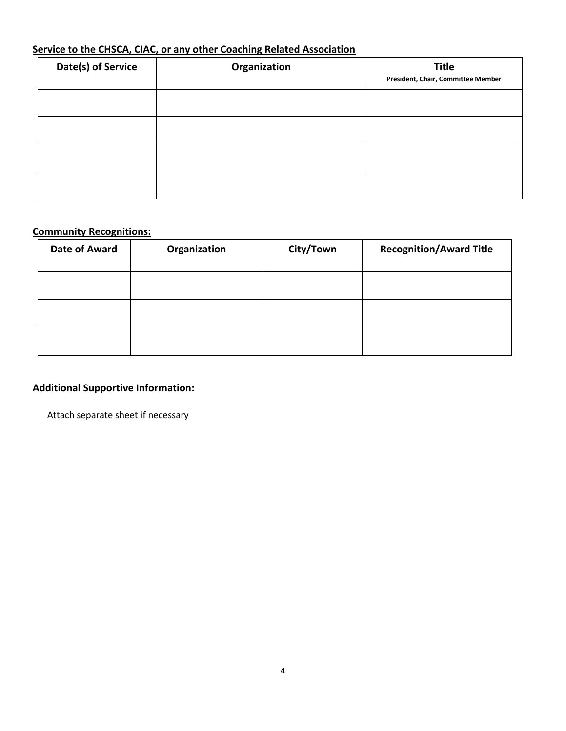# **Service to the CHSCA, CIAC, or any other Coaching Related Association**

| Date(s) of Service | Organization | <b>Title</b><br>President, Chair, Committee Member |
|--------------------|--------------|----------------------------------------------------|
|                    |              |                                                    |
|                    |              |                                                    |
|                    |              |                                                    |
|                    |              |                                                    |

## **Community Recognitions:**

| Date of Award | Organization | City/Town | <b>Recognition/Award Title</b> |
|---------------|--------------|-----------|--------------------------------|
|               |              |           |                                |
|               |              |           |                                |
|               |              |           |                                |

# **Additional Supportive Information:**

Attach separate sheet if necessary